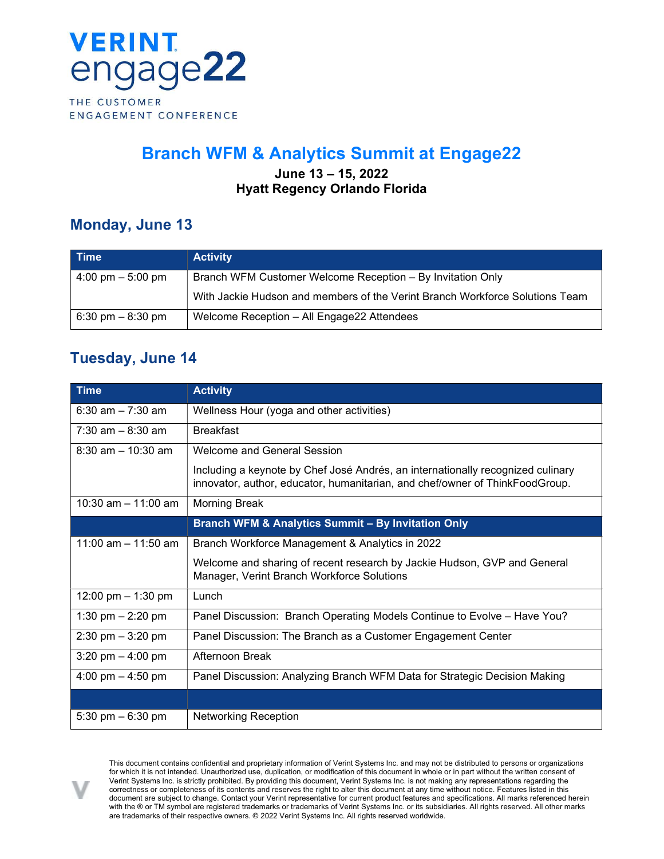

# Branch WFM & Analytics Summit at Engage22

#### June 13 – 15, 2022 Hyatt Regency Orlando Florida

### Monday, June 13

| <b>Time</b>                         | <b>Activity</b>                                                              |
|-------------------------------------|------------------------------------------------------------------------------|
| $4:00 \text{ pm} - 5:00 \text{ pm}$ | Branch WFM Customer Welcome Reception - By Invitation Only                   |
|                                     | With Jackie Hudson and members of the Verint Branch Workforce Solutions Team |
| $6:30 \text{ pm} - 8:30 \text{ pm}$ | Welcome Reception - All Engage22 Attendees                                   |

### Tuesday, June 14

| <b>Time</b>                         | <b>Activity</b>                                                                                                                                                 |
|-------------------------------------|-----------------------------------------------------------------------------------------------------------------------------------------------------------------|
| $6:30$ am $-7:30$ am                | Wellness Hour (yoga and other activities)                                                                                                                       |
| $7:30$ am $-8:30$ am                | <b>Breakfast</b>                                                                                                                                                |
| $8:30$ am $-10:30$ am               | Welcome and General Session                                                                                                                                     |
|                                     | Including a keynote by Chef José Andrés, an internationally recognized culinary<br>innovator, author, educator, humanitarian, and chef/owner of ThinkFoodGroup. |
| 10:30 am $-$ 11:00 am               | <b>Morning Break</b>                                                                                                                                            |
|                                     | <b>Branch WFM &amp; Analytics Summit - By Invitation Only</b>                                                                                                   |
| 11:00 am $-$ 11:50 am               | Branch Workforce Management & Analytics in 2022                                                                                                                 |
|                                     | Welcome and sharing of recent research by Jackie Hudson, GVP and General<br>Manager, Verint Branch Workforce Solutions                                          |
| 12:00 pm $-$ 1:30 pm                | Lunch                                                                                                                                                           |
| 1:30 pm $- 2:20$ pm                 | Panel Discussion: Branch Operating Models Continue to Evolve - Have You?                                                                                        |
| $2:30 \text{ pm} - 3:20 \text{ pm}$ | Panel Discussion: The Branch as a Customer Engagement Center                                                                                                    |
| 3:20 pm $-$ 4:00 pm                 | Afternoon Break                                                                                                                                                 |
| 4:00 pm $-$ 4:50 pm                 | Panel Discussion: Analyzing Branch WFM Data for Strategic Decision Making                                                                                       |
|                                     |                                                                                                                                                                 |
| 5:30 pm $-6:30$ pm                  | <b>Networking Reception</b>                                                                                                                                     |



This document contains confidential and proprietary information of Verint Systems Inc. and may not be distributed to persons or organizations for which it is not intended. Unauthorized use, duplication, or modification of this document in whole or in part without the written consent of Verint Systems Inc. is strictly prohibited. By providing this document, Verint Systems Inc. is not making any representations regarding the correctness or completeness of its contents and reserves the right to alter this document at any time without notice. Features listed in this document are subject to change. Contact your Verint representative for current product features and specifications. All marks referenced herein with the ® or TM symbol are registered trademarks or trademarks of Verint Systems Inc. or its subsidiaries. All rights reserved. All other marks are trademarks of their respective owners. © 2022 Verint Systems Inc. All rights reserved worldwide.